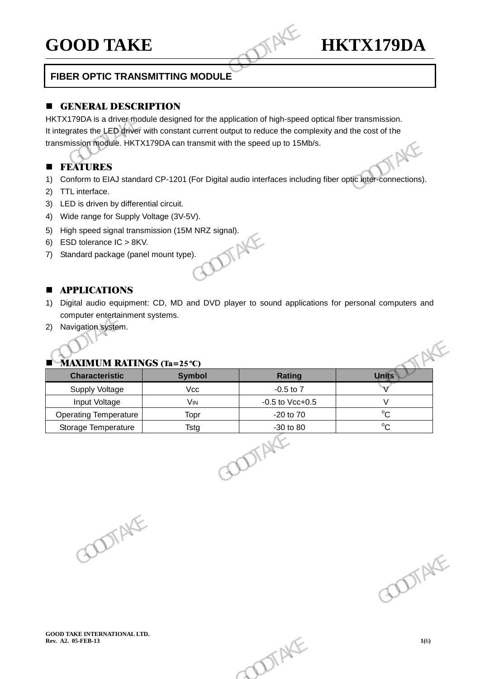# **GOOD TAKE HKTX179DA**

# **FIBER OPTIC TRANSMITTING MODULE**

# **EXERGE GENERAL DESCRIPTION**

HKTX179DA is a driver module designed for the application of high-speed optical fiber transmission. It integrates the LED driver with constant current output to reduce the complexity and the cost of the transmission module. HKTX179DA can transmit with the speed up to 15Mb/s. GOOD TAKE<br>
FIBER OPTIC TRANSMITTING MODULE<br>
FIBER OPTIC TRANSMITTING MODULE<br>
GENERAL DESCRIPTION<br>
HKTX179DA is a driver module designed for the application of high-speed<br>
t integrates the LED driver with constant current o

# **EXTURES**

-

- 1) Conform to EIAJ standard CP-1201 (For Digital audio interfaces including fiber optic inter-connections).
- 2) TTL interface.
- 3) LED is driven by differential circuit.
- 4) Wide range for Supply Voltage (3V-5V).
- 5) High speed signal transmission (15M NRZ signal).<br>6) ESD tolerance IC > 8KV.<br>7) Standard package (panel mount type).
- 6) ESD tolerance IC > 8KV.
- 7) Standard package (panel mount type).

# **APPLICATIONS**

- 1) Digital audio equipment: CD, MD and DVD player to sound applications for personal computers and computer entertainment systems.
- 2) Navigation system.

| 5)<br>6) | High speed signal transmission (15M NRZ signal).<br>ESD tolerance IC > 8KV. |                               |                                                                                                 |                       |
|----------|-----------------------------------------------------------------------------|-------------------------------|-------------------------------------------------------------------------------------------------|-----------------------|
| 7)       | Standard package (panel mount type).                                        |                               |                                                                                                 |                       |
| п<br>1)  | <b>APPLICATIONS</b><br>computer entertainment systems.                      |                               | Digital audio equipment: CD, MD and DVD player to sound applications for personal computers and |                       |
| 2)       | Navigation system.                                                          |                               |                                                                                                 |                       |
|          | <b>MAXIMUM RATINGS (Ta=25 °C)</b>                                           |                               |                                                                                                 |                       |
|          | <b>Characteristic</b>                                                       | <b>Symbol</b>                 | <b>Rating</b>                                                                                   | <b>Units</b>          |
|          | Supply Voltage                                                              | Vcc                           | $-0.5$ to $7$                                                                                   | $\mathsf{V}$          |
|          | Input Voltage<br><b>Operating Temperature</b>                               | <b>V<sub>IN</sub></b><br>Topr | $-0.5$ to Vcc $+0.5$<br>-20 to 70                                                               | $\vee$<br>$^{\circ}C$ |
|          | Storage Temperature                                                         | Tstg                          | -30 to 80<br>DTAX                                                                               | $^{\circ}C$           |

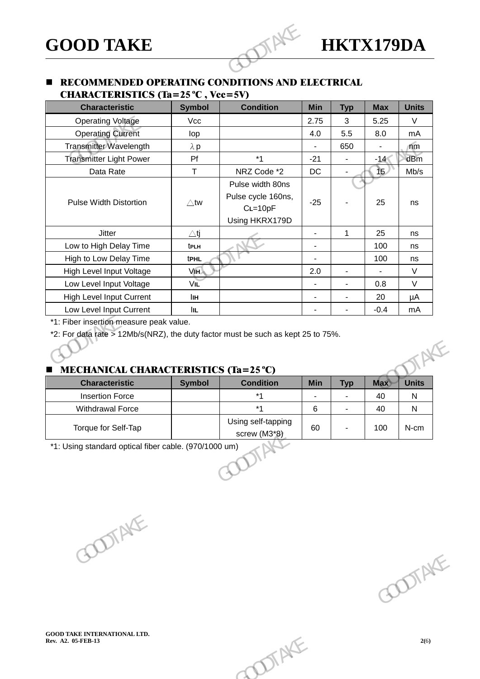# **RECOMMENDED OPERATING CONDITIONS AND ELECTRICAL** CHARACTERISTICS  $(Ta=25°C, Vec=5V)$

| <b>GOOD TAKE</b>                                                                                    |                |                                                                       |                |                | <b>HKTX179DA</b> |              |
|-----------------------------------------------------------------------------------------------------|----------------|-----------------------------------------------------------------------|----------------|----------------|------------------|--------------|
| <b>RECOMMENDED OPERATING CONDITIONS AND ELECTRICAL</b><br><b>CHARACTERISTICS (Ta=25 °C, Vcc=5V)</b> |                |                                                                       |                |                |                  |              |
| <b>Characteristic</b>                                                                               | <b>Symbol</b>  | <b>Condition</b>                                                      | <b>Min</b>     | <b>Typ</b>     | <b>Max</b>       | <b>Units</b> |
| <b>Operating Voltage</b>                                                                            | Vcc            |                                                                       | 2.75           | 3              | 5.25             | V            |
| <b>Operating Current</b>                                                                            | lop            |                                                                       | 4.0            | 5.5            | 8.0              | mA           |
| Transmitter Wavelength                                                                              | $\lambda$ p    |                                                                       | $\overline{a}$ | 650            | $\mathbf{r}$     | $\sqrt{m}$   |
| <b>Transmitter Light Power</b>                                                                      | Pf             | $*1$                                                                  | $-21$          | $\blacksquare$ | $-14$            | dBm          |
| Data Rate                                                                                           | T.             | NRZ Code *2                                                           | <b>DC</b>      | $\blacksquare$ | $\sqrt{2}$       | Mb/s         |
| <b>Pulse Width Distortion</b>                                                                       | $\triangle$ tw | Pulse width 80ns<br>Pulse cycle 160ns,<br>$CL=10pF$<br>Using HKRX179D | $-25$          |                | 25               | ns           |
| <b>Jitter</b>                                                                                       | $\triangle$ tj |                                                                       |                | $\mathbf{1}$   | 25               | ns           |
| Low to High Delay Time                                                                              | tpLH           |                                                                       | $\overline{a}$ |                | 100              | ns           |
| High to Low Delay Time                                                                              | tPHL           |                                                                       |                |                | 100              | ns           |
| High Level Input Voltage                                                                            | VIH            |                                                                       | 2.0            | $\blacksquare$ | $\mathbf{r}$     | V            |
| Low Level Input Voltage                                                                             | VIL            |                                                                       |                |                | 0.8              | $\vee$       |
| <b>High Level Input Current</b>                                                                     | lін            |                                                                       | $\blacksquare$ | $\blacksquare$ | 20               | $\mu A$      |
| Low Level Input Current                                                                             | <b>IIL</b>     |                                                                       |                | $\blacksquare$ | $-0.4$           | mA           |

# MECHANICAL CHARACTERISTICS  $(T_2 - 25^\circ C)$

| <b>Characteristic</b>   | <b>Symbol</b> | <b>Condition</b>                   | <b>Min</b> | <b>Typ</b> | <b>Max</b> | <b>Units</b> |
|-------------------------|---------------|------------------------------------|------------|------------|------------|--------------|
| <b>Insertion Force</b>  |               | $*_{1}$                            | ٠          | ٠          | 40         | N            |
| <b>Withdrawal Force</b> |               | $*1$                               | 6          | ٠          | 40         | N            |
| Torque for Self-Tap     |               | Using self-tapping<br>screw (M3*8) | 60         |            | 100        | N-cm         |
|                         |               |                                    |            |            |            |              |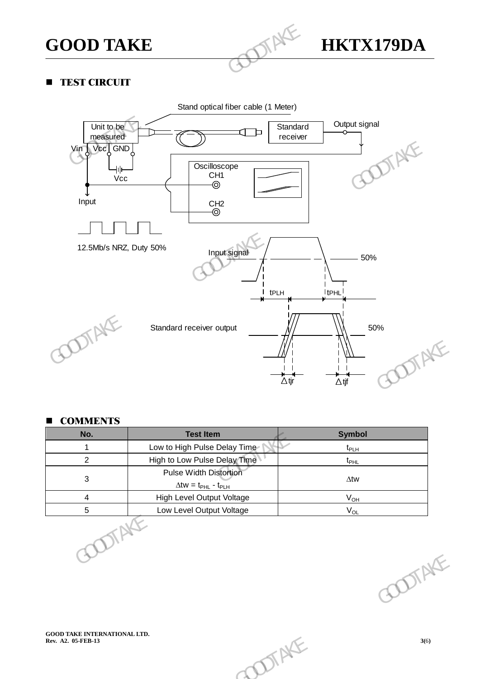

# **TEST CIRCUIT**

-



# **COMMENTS**

| <b>COMMENTS</b><br>No.                                    | <b>Test Item</b>                                                            | <b>Symbol</b>      |        |
|-----------------------------------------------------------|-----------------------------------------------------------------------------|--------------------|--------|
| $\overline{\mathbf{1}}$                                   | Low to High Pulse Delay Time                                                | $t_{\sf PLH}$      |        |
| $\overline{c}$                                            | High to Low Pulse Delay Time                                                | $t_{\mathsf{PHL}}$ |        |
| $\sqrt{3}$                                                | Pulse Width Distortion<br>$\Delta$ tw = t <sub>PHL</sub> - t <sub>PLH</sub> | $\Delta$ tw        |        |
| $\overline{4}$                                            | High Level Output Voltage                                                   | $V_{OH}$           |        |
| $\,$ 5 $\,$<br>TTAKE                                      | Low Level Output Voltage                                                    | $V_{OL}$           |        |
|                                                           |                                                                             |                    | ODTAKE |
| <b>GOOD TAKE INTERNATIONAL LTD.</b><br>Rev. A2. 05-FEB-13 | DIAKE                                                                       |                    | 3(6)   |
|                                                           |                                                                             |                    |        |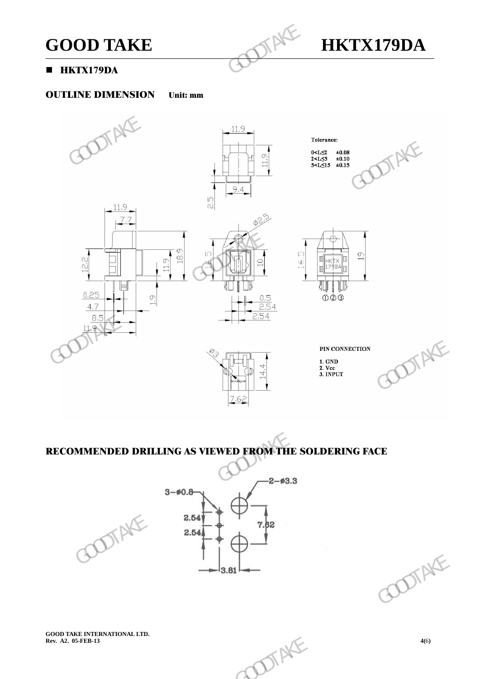

# **HKTX179DA**

-

# OUTLINE DIMENSION Unit: mm



# RECOMMENDED DRILLING AS VIEWED FROM THE SOLDERING FACE







**GOOD TAKE INTERNATIONAL LTD.**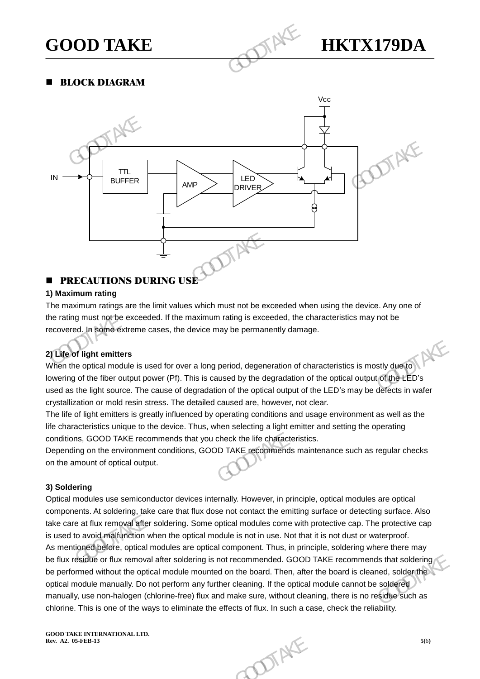

**BLOCK DIAGRAM** 

-



# **PRECAUTIONS DURING USE**

# **1) Maximum rating**

The maximum ratings are the limit values which must not be exceeded when using the device. Any one of the rating must not be exceeded. If the maximum rating is exceeded, the characteristics may not be recovered. In some extreme cases, the device may be permanently damage.

# **2) Life of light emitters**

When the optical module is used for over a long period, degeneration of characteristics is mostly due to lowering of the fiber output power (Pf). This is caused by the degradation of the optical output of the LED's used as the light source. The cause of degradation of the optical output of the LED's may be defects in wafer crystallization or mold resin stress. The detailed caused are, however, not clear.

The life of light emitters is greatly influenced by operating conditions and usage environment as well as the life characteristics unique to the device. Thus, when selecting a light emitter and setting the operating conditions, GOOD TAKE recommends that you check the life characteristics.

Depending on the environment conditions, GOOD TAKE recommends maintenance such as regular checks on the amount of optical output.

# **3) Soldering**

Optical modules use semiconductor devices internally. However, in principle, optical modules are optical components. At soldering, take care that flux dose not contact the emitting surface or detecting surface. Also take care at flux removal after soldering. Some optical modules come with protective cap. The protective cap is used to avoid malfunction when the optical module is not in use. Not that it is not dust or waterproof. As mentioned before, optical modules are optical component. Thus, in principle, soldering where there may be flux residue or flux removal after soldering is not recommended. GOOD TAKE recommends that soldering be performed without the optical module mounted on the board. Then, after the board is cleaned, solder the optical module manually. Do not perform any further cleaning. If the optical module cannot be soldered manually, use non-halogen (chlorine-free) flux and make sure, without cleaning, there is no residue such as chlorine. This is one of the ways to eliminate the effects of flux. In such a case, check the reliability. The mitters<br>of light emitters<br>are optical module is used for over a long period, degeneration of characteristics is mostly due<br>to diventify of the fiber output power (Pf). This is caused by the degradation of the optical o devices internally. However, in principle, optical modules are optical<br>that flux dose not contact the emitting surface or detecting surface. Also<br>ring. Some optical modules come with protective cap. The protective cap<br>ne o